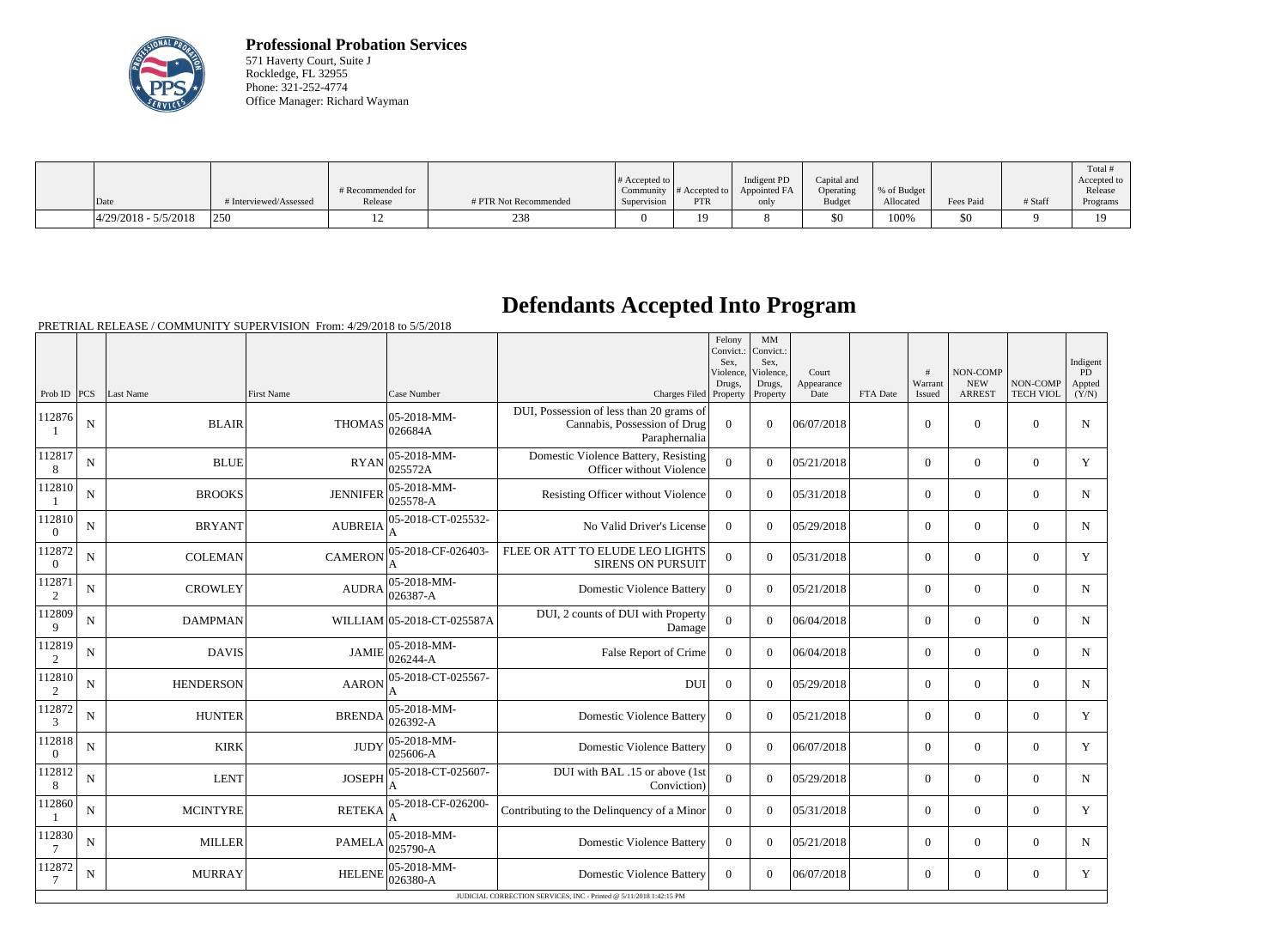

**Professional Probation Services** 571 Haverty Court, Suite J Rockledge, FL 32955 Phone: 321-252-4774 Office Manager: Richard Wayman

|                         |                        | # Recommended for |                       | # Accepted to $\vert$ |                | Indigent PD<br>Community $\ #$ Accepted to $\ $ Appointed FA | Capital and<br>Operating | % of Budget |           |         | Total<br>Accepted to<br>Release |
|-------------------------|------------------------|-------------------|-----------------------|-----------------------|----------------|--------------------------------------------------------------|--------------------------|-------------|-----------|---------|---------------------------------|
| Date                    | # Interviewed/Assessed | Release           | # PTR Not Recommended | Supervision           | <b>PTR</b>     | only                                                         | <b>Budget</b>            | Allocated   | Fees Paid | # Staff | Programs                        |
| $ 4/29/2018 - 5/5/2018$ | 250                    |                   | 238                   |                       | 1 <sub>0</sub> |                                                              | \$0                      | 100%        | \$0       |         | 10                              |

## **Defendants Accepted Into Program**

PRETRIAL RELEASE / COMMUNITY SUPERVISION From: 4/29/2018 to 5/5/2018

|                          |             |                  |                 |                                 |                                                                                           | Felony<br>Convict.:<br>Sex,<br>Violence,<br>Drugs, | MM<br>Convict.:<br>Sex,<br>Violence,<br>Drugs, | Court<br>Appearance |          | #<br>Warrant   | NON-COMP<br><b>NEW</b> | NON-COMP         | Indigent<br><b>PD</b><br>Appted |
|--------------------------|-------------|------------------|-----------------|---------------------------------|-------------------------------------------------------------------------------------------|----------------------------------------------------|------------------------------------------------|---------------------|----------|----------------|------------------------|------------------|---------------------------------|
| Prob ID $ PCS $          |             | Last Name        | First Name      | Case Number                     | Charges Filed Property                                                                    |                                                    | Property                                       | Date                | FTA Date | Issued         | <b>ARREST</b>          | <b>TECH VIOL</b> | (Y/N)                           |
| 112876                   | ${\bf N}$   | <b>BLAIR</b>     | <b>THOMAS</b>   | 05-2018-MM-<br>026684A          | DUI, Possession of less than 20 grams of<br>Cannabis, Possession of Drug<br>Paraphernalia | $\boldsymbol{0}$                                   | $\theta$                                       | 06/07/2018          |          | $\overline{0}$ | $\overline{0}$         | $\overline{0}$   | N                               |
| 112817<br>8              | $\mathbf N$ | <b>BLUE</b>      | <b>RYAN</b>     | 05-2018-MM-<br>025572A          | Domestic Violence Battery, Resisting<br>Officer without Violence                          | $\overline{0}$                                     | $\Omega$                                       | 05/21/2018          |          | $\overline{0}$ | $\overline{0}$         | $\overline{0}$   | Y                               |
| 112810                   | $\mathbf N$ | <b>BROOKS</b>    | <b>JENNIFER</b> | 05-2018-MM-<br>025578-A         | Resisting Officer without Violence                                                        | $\mathbf{0}$                                       | $\Omega$                                       | 05/31/2018          |          | $\overline{0}$ | $\mathbf{0}$           | $\mathbf{0}$     | $\mathbf N$                     |
| 112810<br>$\overline{0}$ | $\mathbf N$ | <b>BRYANT</b>    | <b>AUBREIA</b>  | 05-2018-CT-025532-<br>A         | No Valid Driver's License                                                                 | $\mathbf{0}$                                       | $\Omega$                                       | 05/29/2018          |          | $\overline{0}$ | $\overline{0}$         | $\overline{0}$   | N                               |
| 112872<br>$\theta$       | N           | <b>COLEMAN</b>   | <b>CAMERON</b>  | 05-2018-CF-026403-<br>A         | FLEE OR ATT TO ELUDE LEO LIGHTS<br><b>SIRENS ON PURSUIT</b>                               | $\Omega$                                           | $\Omega$                                       | 05/31/2018          |          | $\overline{0}$ | $\overline{0}$         | $\overline{0}$   | Y                               |
| 112871<br>2              | ${\bf N}$   | <b>CROWLEY</b>   | <b>AUDRA</b>    | $ 05 - 2018 - MM -$<br>026387-A | <b>Domestic Violence Battery</b>                                                          | $\theta$                                           | $\Omega$                                       | 05/21/2018          |          | $\overline{0}$ | $\overline{0}$         | $\overline{0}$   | N                               |
| 112809<br>9              | N           | <b>DAMPMAN</b>   |                 | WILLIAM 05-2018-CT-025587A      | DUI, 2 counts of DUI with Property<br>Damage                                              | $\overline{0}$                                     | $\Omega$                                       | 06/04/2018          |          | $\overline{0}$ | $\theta$               | $\overline{0}$   | N                               |
| 112819<br>2              | ${\bf N}$   | <b>DAVIS</b>     | <b>JAMIE</b>    | 05-2018-MM-<br>026244-A         | False Report of Crime                                                                     | $\overline{0}$                                     | $\Omega$                                       | 06/04/2018          |          | $\overline{0}$ | $\boldsymbol{0}$       | $\overline{0}$   | N                               |
| 112810<br>2              | $\mathbf N$ | <b>HENDERSON</b> | <b>AARON</b>    | 05-2018-CT-025567-<br>A         | <b>DUI</b>                                                                                | $\boldsymbol{0}$                                   | $\Omega$                                       | 05/29/2018          |          | $\overline{0}$ | $\theta$               | $\overline{0}$   | N                               |
| 112872<br>3              | N           | <b>HUNTER</b>    | <b>BRENDA</b>   | $ 05 - 2018 - MM -$<br>026392-A | <b>Domestic Violence Battery</b>                                                          | $\theta$                                           | $\Omega$                                       | 05/21/2018          |          | $\Omega$       | $\theta$               | $\Omega$         | Y                               |
| 112818<br>$\overline{0}$ | N           | <b>KIRK</b>      | <b>JUDY</b>     | $ 05 - 2018 - MM -$<br>025606-A | <b>Domestic Violence Battery</b>                                                          | $\Omega$                                           | $\Omega$                                       | 06/07/2018          |          | $\overline{0}$ | $\theta$               | $\overline{0}$   | Y                               |
| 112812<br>8              | N           | <b>LENT</b>      | <b>JOSEPH</b>   | 05-2018-CT-025607-              | DUI with BAL .15 or above (1st<br>Conviction)                                             | $\overline{0}$                                     | $\Omega$                                       | 05/29/2018          |          | $\overline{0}$ | $\theta$               | $\Omega$         | $\mathbf N$                     |
| 112860                   | $\mathbf N$ | <b>MCINTYRE</b>  | <b>RETEKA</b>   | 05-2018-CF-026200-              | Contributing to the Delinquency of a Minor                                                | $\overline{0}$                                     | $\Omega$                                       | 05/31/2018          |          | $\overline{0}$ | $\overline{0}$         | $\overline{0}$   | Y                               |
| 112830<br>$\overline{7}$ | $\mathbf N$ | <b>MILLER</b>    | <b>PAMELA</b>   | $ 05-2018-MM-$<br>025790-A      | <b>Domestic Violence Battery</b>                                                          | $\mathbf{0}$                                       | $\Omega$                                       | 05/21/2018          |          | $\overline{0}$ | $\overline{0}$         | $\overline{0}$   | $\mathbf N$                     |
| 112872<br>$\overline{7}$ | ${\bf N}$   | <b>MURRAY</b>    | <b>HELENE</b>   | $ 05 - 2018 - MM -$<br>026380-A | <b>Domestic Violence Battery</b>                                                          | $\overline{0}$                                     | $\Omega$                                       | 06/07/2018          |          | $\overline{0}$ | $\boldsymbol{0}$       | $\overline{0}$   | Y                               |
|                          |             |                  |                 |                                 | JUDICIAL CORRECTION SERVICES, INC - Printed @ 5/11/2018 1:42:15 PM                        |                                                    |                                                |                     |          |                |                        |                  |                                 |